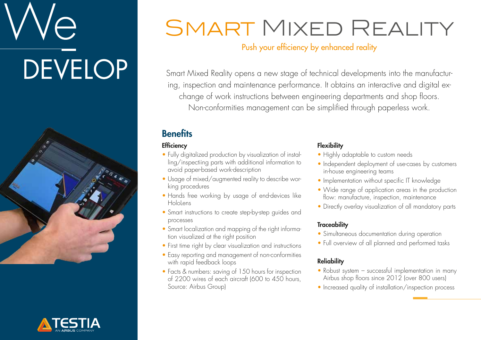# **DEVELOP**





## SMART MIXED REALITY

Push your efficiency by enhanced reality

Smart Mixed Reality opens a new stage of technical developments into the manufacturing, inspection and maintenance performance. It obtains an interactive and digital exchange of work instructions between engineering departments and shop floors. Non-conformities management can be simplified through paperless work.

#### **Benefits**

#### **Efficiency**

- Fully digitalized production by visualization of installing/inspectiing parts with additional information to avoid paper-based work-description
- Usage of mixed/augmented reality to describe working procedures
- Hands free working by usage of end-devices like **Hololens**
- Smart instructions to create step-by-step auides and processes
- Smart localization and mapping of the right information visualized at the right position
- First time right by clear visualization and instructions
- Easy reporting and management of non-conformities with rapid feedback loops
- Facts & numbers: saving of 150 hours for inspection of 2200 wires of each aircraft (600 to 450 hours, Source: Airbus Group)

#### **Flexibility**

- Highly adaptable to custom needs
- Independent deployment of use-cases by customers in-house engineering teams
- Implementation without specific IT knowledge
- Wide range of application areas in the production flow: manufacture, inspection, maintenance
- Directly overlay visualization of all mandatory parts

#### **Traceability**

- Simultaneous documentation during operation
- Full overview of all planned and performed tasks

#### **Reliability**

- Robust system successful implementation in many Airbus shop floors since 2012 (over 800 users)
- Increased quality of installation/inspection process